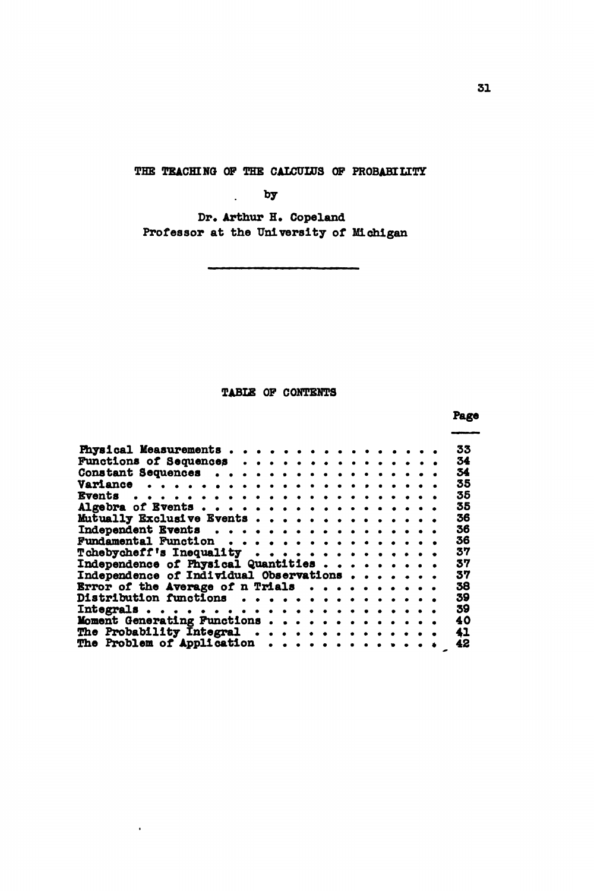THE TEACHING OP THE CALCULUS OP PROBABILITY

by

Dr. Arthur H. Copeland Professor at the University of Michigan

## TABIE OF CONTENTS

Page Physical Measurements . . . . . . . . . . . . . . . 33<br>Functions of Sequences . . . . . . . . . . . . . . 34 Functions of Sequences . . . . . . . . . . . . . . 34<br>Constant Sequences . . . . . . . . . . . . . . . . 34 Constant Sequences ...... . 34 Variance 35 Events 35 Algebra of Events 35  $M$ utually Exclusive Events  $\cdots$ ,  $\cdots$ ,  $\cdots$ ,  $\cdots$ ,  $\cdots$ ,  $\cdots$ ,  $\cdots$ ,  $\cdots$ ,  $\cdots$ ,  $\cdots$ ,  $\cdots$ ,  $\cdots$ ,  $\cdots$ ,  $\cdots$ ,  $\cdots$ ,  $\cdots$ ,  $\cdots$ ,  $\cdots$ ,  $\cdots$ ,  $\cdots$ ,  $\cdots$ ,  $\cdots$ ,  $\cdots$ ,  $\cdots$ ,  $\cdots$ ,  $\cdots$ ,  $\cdots$ ,  $\cdots$ Independent Events . . . . . . . . . . . . . . . . . 36<br>Fundamental Function . . . . . . . . . . . . . . . . 37<br>Tchebycheff's Inequality . . . . . . . . . . . . . . 37<br>Independence of Physical Quantities . . . . . . . . 37 Independence of Individual Observations  $\cdots \cdots$  37 Error of the Average of n Trials  $\ldots \ldots \ldots$  38<br>Distribution functions  $\ldots \ldots \ldots \ldots$  39 Distribution functions 39 Integrals ...... 39 Moment Generating Functions . . . . . . . . . . . . . 40<br>The Probability Integral . . . . . . . . . . . . . . 41<br>The Problem of Application . . . . . . . . . . . . 42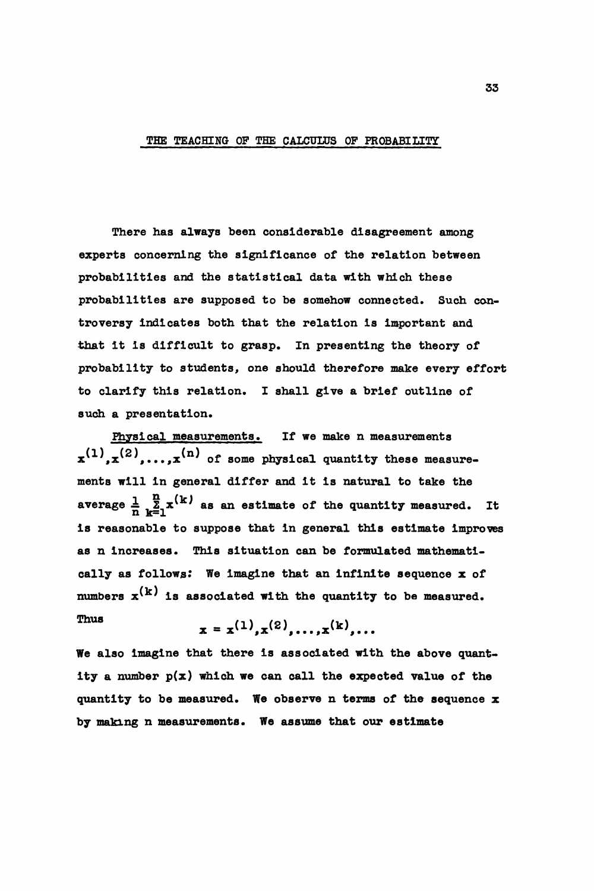## THE TEACHING OF THE CALCULUS OF PROBABILITY

There has always been considerable disagreement among experts concerning the significance of the relation between probabilities and the statistical data with which these probabilities are supposed to be somehow connected. Such controversy indicates both that the relation is important and that it is difficult to grasp. In presenting the theory of probability to students, one should therefore make every effort to clarify this relation. I shall give a brief outline of such a presentation.

Physical measurements. If we make n measurements  $x^{(1)}$ , $x^{(2)}$ ,.... $x^{(n)}$  of some physical quantity these measurements will in general differ and it is natural to take the average  $\frac{1}{n}$ ,  $\frac{n}{2}$ ,  $x^{(k)}$  as an estimate of the quantity measured. It is reasonable to suppose that in general this estimate Improves as n increases. This situation can be formulated mathematically as follows: We Imagine that an infinite sequence x of numbers  $x^{(k)}$  is associated with the quantity to be measured. Thus

$$
x = x^{(1)}, x^{(2)}, \ldots, x^{(k)}, \ldots
$$

We also imagine that there is associated with the above quantity a number  $p(x)$  which we can call the expected value of the quantity to be measured. We observe n terms of the sequence  $x$ by making n measurements. We assume that our estimate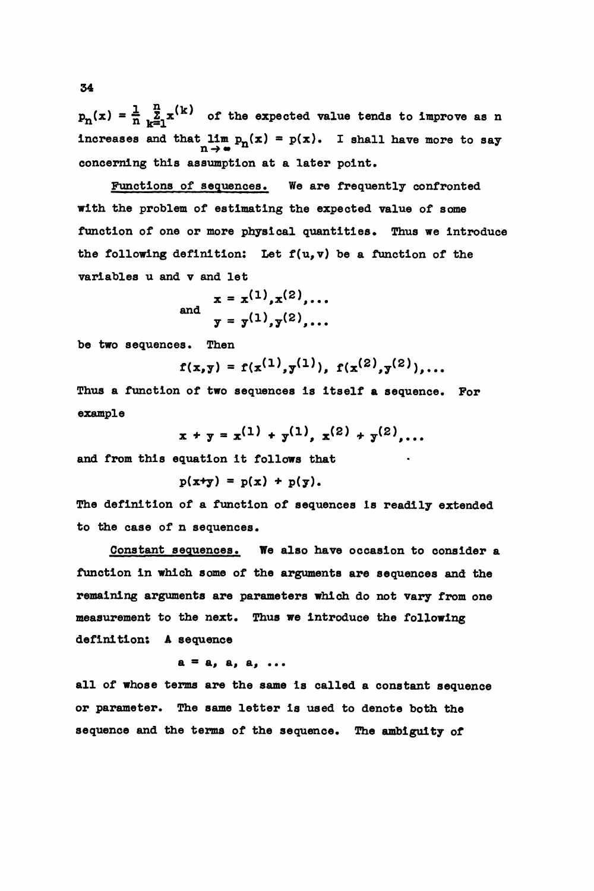$p_n(x) = \frac{1}{n} \sum_{k=1}^{n} x^{(k)}$  of the expected value tends to improve as n increases and that  $\lim_{n \to \infty} p_n(x) = p(x)$ . I shall have more to say concerning this assumption at a later point.

Functions of sequences. We are frequently confronted with the problem of estimating the expected value of some function of one or more physical quantities. Thus we introduce the following definition: Let  $f(u,v)$  be a function of the variables u and v and let

and 
$$
x = x^{(1)}, x^{(2)},...
$$
  
 $y = y^{(1)}, y^{(2)},...$ 

be two sequences. Then

$$
f(x,y) = f(x^{(1)},y^{(1)}), f(x^{(2)},y^{(2)}),...
$$

Thus a function of two sequences is itself a sequence. For example

$$
x + y = x^{(1)} + y^{(1)}, x^{(2)} + y^{(2)}, \ldots
$$

**and from this equation it follows that**

$$
p(x+y) = p(x) + p(y).
$$

The definition of a function of sequences is readily extended to the case of n sequences.

Constant sequences. We also have occasion to consider a function in which some of the arguments are sequences and the remaining arguments are parameters which do not vary from one measurement to the next. Thus we introduce the following definition: A sequence

$$
a = a, a, a, \ldots
$$

all of whose terms are the same is called a constant sequence or parameter. The same letter is used to denote both the sequence and the terms of the sequence. The ambiguity of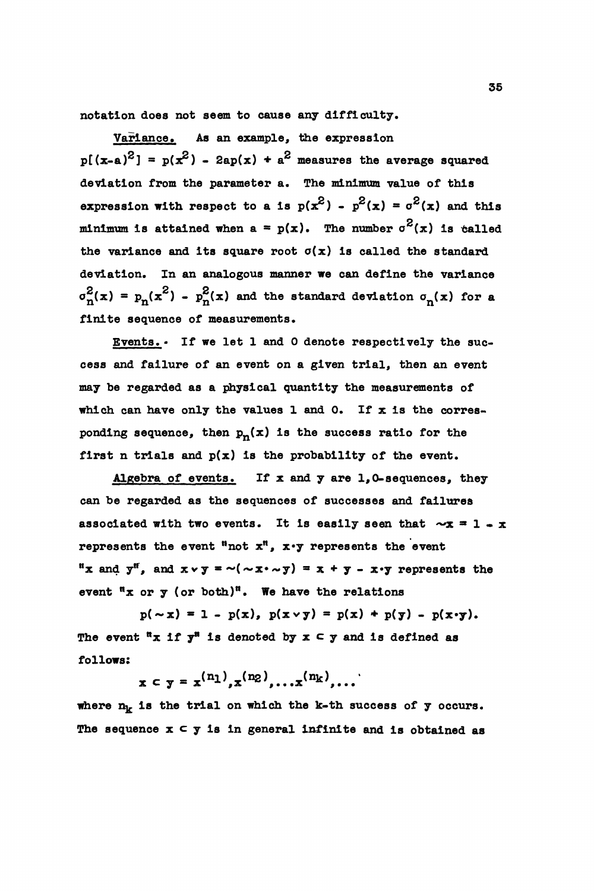notation does not seem to cause any difficulty.

Variance. As an example, the expression  $p[(x-a)^2] = p(x^2) - 2ap(x) + a^2$  measures the average squared deviation from the parameter a. The minimum value of this expression with respect to a is  $p(x^2) - p^2(x) = \sigma^2(x)$  and this minimum is attained when a =  $p(x)$ . The number  $\sigma^2(x)$  is talled the variance and its square root  $\sigma(x)$  is called the standard deviation. In an analogous manner we can define the variance  $\sigma_{\rm n}^2$ (x) =  $p_{\rm n}$ (x<sup>2</sup>) -  $p_{\rm n}^2$ (x) and the standard deviation  $\sigma_{\rm n}$ (x) for a finite sequence of measurements.

Events.• If we let 1 and 0 denote respectively the success and failure of an event on a given trial, then an event may be regarded as a physical quantity the measurements of which can have only the values 1 and 0. If  $x$  is the corresponding sequence, then  $p_n(x)$  is the success ratio for the first n trials and  $p(x)$  is the probability of the event.

Algebra of events. If x and y are  $1,0$ -sequences, they can be regarded as the sequences of successes and failures associated with two events. It is easily seen that  $-x = 1 - x$ represents the event "not  $x^n$ ,  $x \cdot y$  represents the event "x and  $y^{\text{ff}}$ , and  $x \vee y = \sim (\sim x \cdot \sim y) = x + y - x \cdot y$  represents the event  $\mathfrak n$ x or y (or both)<sup>n</sup>. We have the relations

 $p(\sim x) = 1 - p(x), p(x \lor y) = p(x) + p(y) - p(x \lor y).$ The event  ${}^{\text{tr}} x$  if  $y^{\text{tr}}$  is denoted by  $x \in y$  and is defined as follows:

 $x \in y = x^{(n_1)}, x^{(n_2)}, \ldots, x^{(n_k)}, \ldots$ 

where  $n_k$  is the trial on which the k-th success of y occurs. The sequence  $x \subset y$  is in general infinite and is obtained as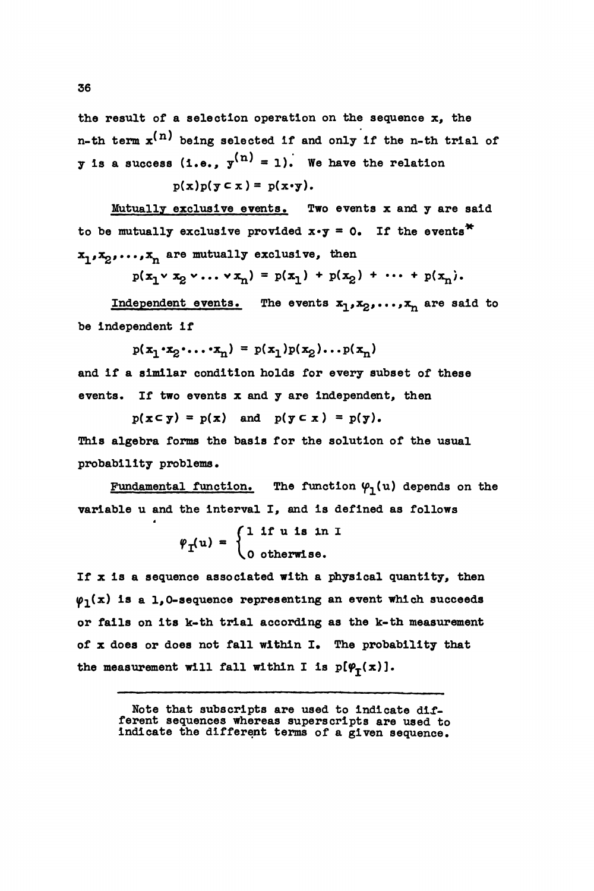the result of a selection operation on the sequence  $x$ , the n-th term  $\mathbf{x}^{(n)}$  being selected if and only if the n-th trial of **y** is a success (i.e.,  $y^{(n)} = 1$ ). We have the relation  $p(x)p(y \subset x) = p(x \cdot y)$ .

Mutually exclusive events. Two events x and y are said to be mutually exclusive provided  $x \cdot y = 0$ . If the events<sup>\*</sup>  $x_1, x_2, \ldots, x_n$  are mutually exclusive, then

 $p(x_1 \vee x_2 \vee \ldots \vee x_n) = p(x_1) + p(x_2) + \cdots + p(x_n).$ 

Independent events. The events  $x_1, x_2, \ldots, x_n$  are said to be Independent if

 $p(x_1 \cdot x_2 \cdot \ldots \cdot x_n) = p(x_1)p(x_2) \ldots p(x_n)$ 

and if a similar condition holds for every subset of these events. If two events x and y are Independent, then

 $p(x \in y) = p(x)$  and  $p(y \in x) = p(y)$ . This algebra forms the basis for the solution of the usual probability problems.

Fundamental function. The function  $\varphi_1(u)$  depends on the variable u and the interval I, and is defined as follows

$$
\varphi_{\mathbf{I}}(u) = \begin{cases} 1 \text{ if } u \text{ is in } I \\ 0 \text{ otherwise.} \end{cases}
$$

If x is a sequence associated with a physical quantity, then  $\varphi_1(x)$  is a 1,0-sequence representing an event which succeeds or falls on its k-th trial according as the k-th measurement of x does or does not fall within I. The probability that the measurement will fall within I is  $p(\varphi_t(x))$ .

> Note that subscripts are used to indicate different sequences whereas superscripts are used to Indicate the different terms of a given sequence.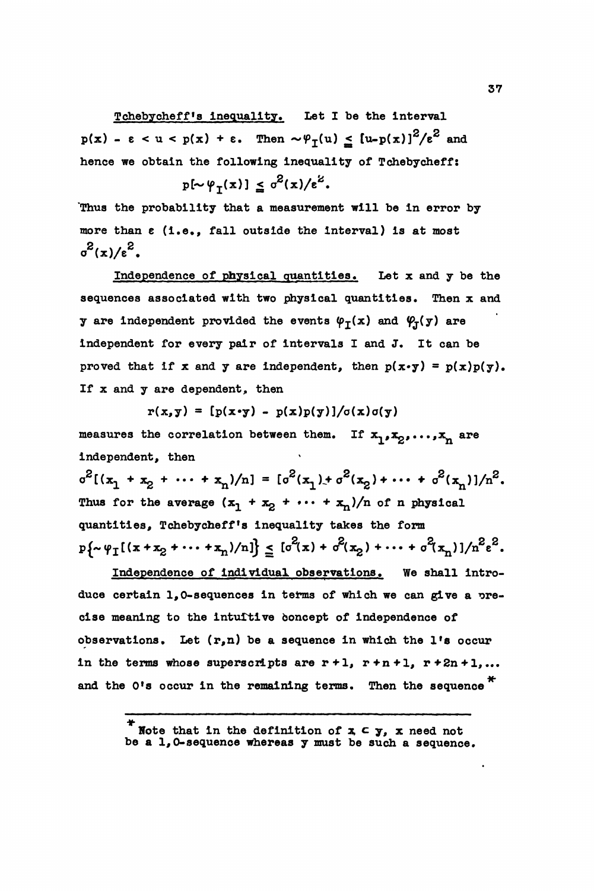Tchebycheff's inequality. Let I be the interval  $p(x) - \varepsilon < u < p(x) + \varepsilon$ . Then  $\sim \varphi_{\tau}(u) \leq [u-p(x)]^2/\varepsilon^2$  and hence we obtain the following inequality of Tchebycheff:

$$
p[\sim \varphi_{T}(x)] \leq \sigma^{2}(x)/\epsilon^{2}.
$$

"Thus the probability that a measurement will be in error by more than e (i.e., fall outside the interval) is at most  $\sigma^2(x)/\epsilon^2$ .

Independence of physical quantities. Let x and y be the sequences associated with two physical quantities. Then x and y are independent provided the events  $\varphi_{\tau}(x)$  and  $\varphi_{\tau}(y)$  are Independent for every pair of intervals I and J. It can be proved that if x and y are independent, then  $p(x \cdot y) = p(x)p(y)$ . If x and y are dependent, then

 $r(x,y) = [p(x \cdot y) - p(x)p(y)]/\sigma(x)\sigma(y)$ 

measures the correlation between them. If  $x_1, x_2, \ldots, x_n$  are independent, then

 $\sigma^2[(x_1 + x_2 + \cdots + x_n)/n] = [\sigma^2(x_1) + \sigma^2(x_2) + \cdots + \sigma^2(x_n)]/n^2.$ Thus for the average  $(x_1 + x_2 + \cdots + x_n)/n$  of n physical quantities, Tchebycheff <sup>f</sup>s inequality takes the form  $p\{\sim \varphi_I[(x+x_2+\cdots+x_n)/n]\}\leq [\sigma^2(x) + \sigma^2(x_2) + \cdots + \sigma^2(x_n)]/n^2\epsilon^2.$ 

Independence of individual observations. We shall introduce certain 1,0-sequences in terms of which we can give a precise meaning to the Intuitive boncept of independence of observations. Let  $(r,n)$  be a sequence in which the l's occur in the terms whose superscripts are  $r+1$ ,  $r+n+1$ ,  $r+2n+1$ ,... and the O's occur in the remaining terms. Then the sequence  $*$ 

Note that in the definition of  $x \in y$ , x need not be a 1,0-sequence whereas y must be such a sequence.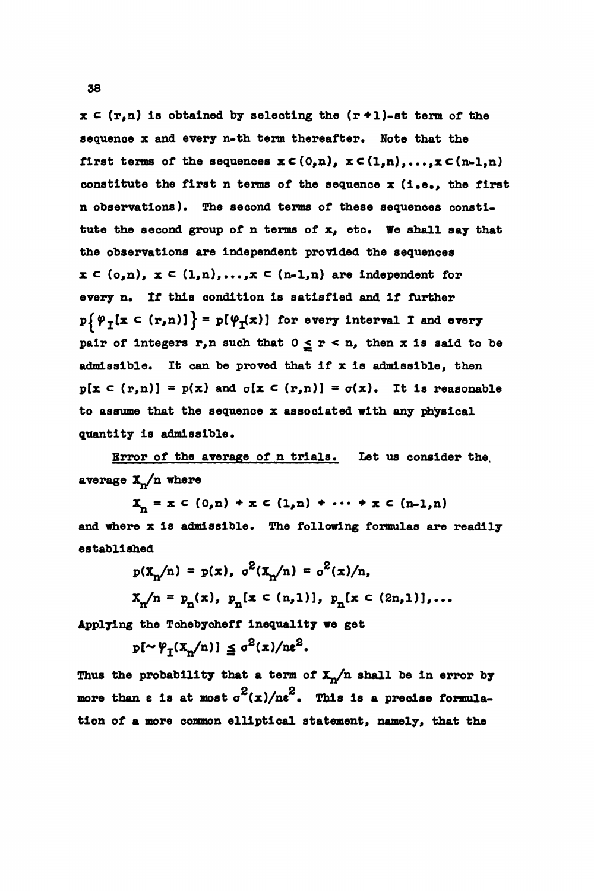$x \in (r,n)$  is obtained by selecting the  $(r+1)$ -st term of the sequence x and every n-th term thereafter. Note that the first terms of the sequences  $x \in (0,n)$ ,  $x \in (1,n)$ ,..., $x \in (n-1,n)$ constitute the first  $n$  terms of the sequence  $x$  (i.e., the first n observations). The second terms of these sequences constitute the second group of n terms of x, etc. We shall say that the observations are Independent provided the sequences  $x \in (o, n)$ ,  $x \in (1, n)$ ,..., $x \in (n-1, n)$  are independent for every n. If this condition Is satisfied and If further  $p\{\varphi_T[x \in (r,n)]\} = p[\varphi_T(x)]$  for every interval I and every pair of integers r,n such that  $0 \le r < n$ , then x is said to be admissible. It can be proved that if  $x$  is admissible, then  $p[x \in (r,n)] = p(x)$  and  $q[x \in (r,n)] = q(x)$ . It is reasonable to assume that the sequence x associated with any physical quantity Is admissible.

Error of the average of n trials. Let us consider the, average  $\mathbf{X}_n/n$  where

 $X_n = x \in (0,n) + x \in (1,n) + \cdots + x \in (n-1,n)$ and where x Is admissible. The following formulas are readily established

$$
p(X_{n}/n) = p(x), \sigma^{2}(X_{n}/n) = \sigma^{2}(x)/n,
$$
  

$$
X_{n}/n = p_{n}(x), p_{n}[x \in (n,1)], p_{n}[x \in (2n,1)],...
$$

Applying the Tchebycheff Inequality we get

 $\leq \sigma^{\circ}(x)/n\epsilon^{\circ}$ .

Thus the probability that a term of  $X_n/n$  shall be in error by more than  $\varepsilon$  is at most  $\sigma^2(x)/n\varepsilon^2$ . This is a precise formulation of a more common elliptical statement, namely, that the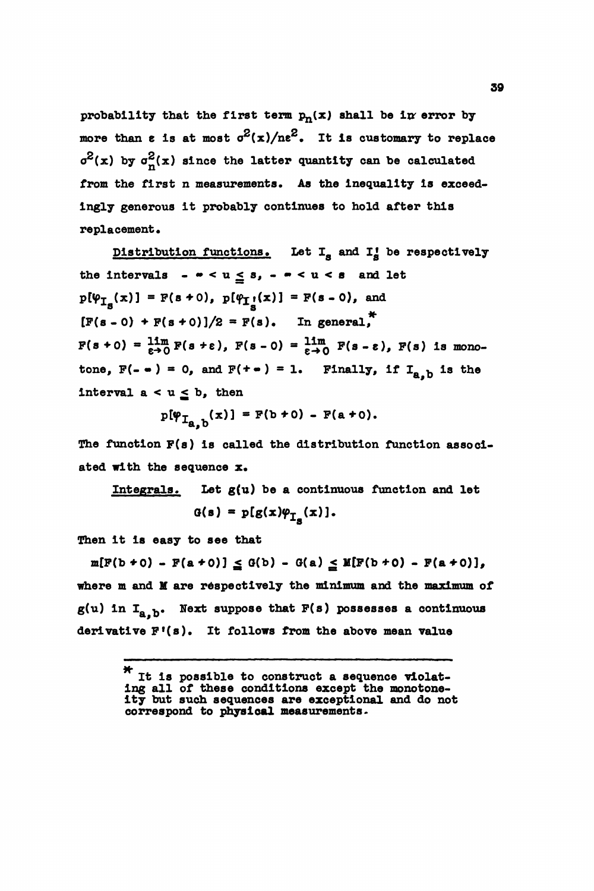probability that the first term  $p_n(x)$  shall be in error by more than  $\varepsilon$  is at most  $\sigma^2(x)/ne^2$ . It is customary to replace  $\sigma^2(x)$  by  $\sigma^2_n(x)$  since the latter quantity can be calculated from the first n measurements. As the inequality is exceedingly generous It probably continues to hold after this replacement.

Distribution functions. Let  $I_g$  and  $I_g'$  be respectively the intervals  $-\cdot < u \leq s$ ,  $-\cdot < u < s$  and let  $p[\psi_{I_{a}}(x)] = F(s+0), p[\psi_{I_{a}}(x)] = F(s-0),$  and  $[F(s - 0) + F(s + 0)]/2 = F(s)$ . In general,\*  $F(s+0) = \lim_{\epsilon \to 0} F(s+\epsilon)$ ,  $F(s-0) = \lim_{\epsilon \to 0} F(s-\epsilon)$ ,  $F(s)$  is monotone,  $F(- \cdot ) = 0$ , and  $F(+ \cdot ) = 1$ . Finally, if  $I_{a,b}$  is the interval  $a < u \leq b$ , then

$$
p[\varphi_{I_{a,b}}(x)] = F(b+0) - F(a+0).
$$

The function F(s) is called the distribution function associated with the sequence x.

Integrals. Let 
$$
g(u)
$$
 be a continuous function and let  $G(s) = p[g(x)\varphi_{I_{-}}(x)].$ 

Then it is easy to see that

 $m[F(b * 0) - F(a * 0)] \leq G(b) - G(a) \leq M[F(b * 0) - F(a * 0)],$ where m and H are respectively the minimum and the maximum of  $g(u)$  in  $I_{a, b}$ . Next suppose that  $F(s)$  possesses a continuous derivative F'(s). It follows from the above mean value

<sup>.</sup> It Is possible to construct a sequence violating all of these conditions except the monotoneity but such sequences are exceptional and do not correspond to physical measurements.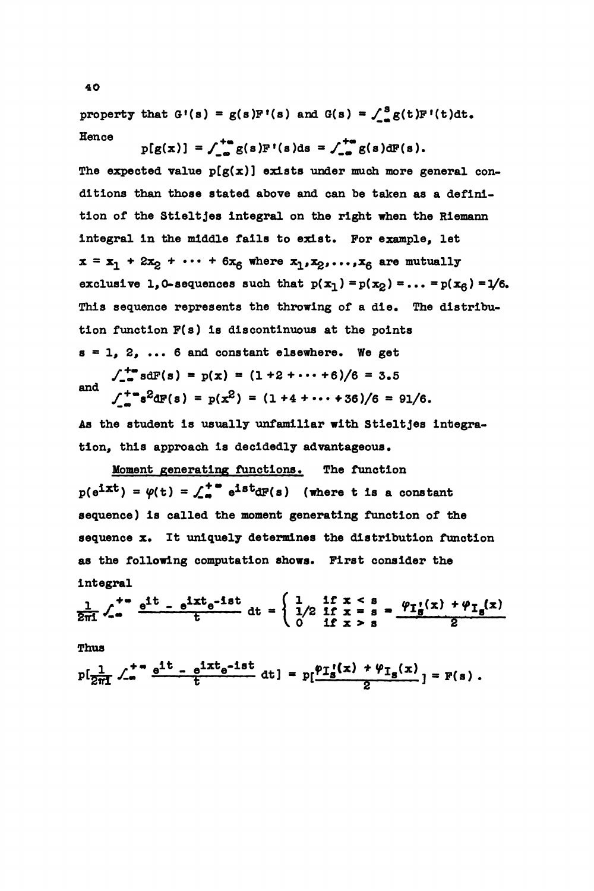property that  $G'(s) = g(s)F'(s)$  and  $G(s) = \int_{-\infty}^{s} g(t)F'(t)dt$ . Hence

 $p[g(x)] = \int_{-\infty}^{+\infty} g(s)F'(s)ds = \int_{-\infty}^{+\infty} g(s) dF(s).$ The expected value  $p(g(x))$  exists under much more general conditions than those stated above and can be taken as a definition of the Stielt jes Integral on the right when the Riemann integral in the middle falls to exist. For example, let  $x = x_1 + 2x_2 + \cdots + 6x_6$  where  $x_1, x_2, \ldots, x_6$  are mutually exclusive 1,0-sequences such that  $p(x_1) = p(x_2) = \ldots = p(x_6) = 1/6$ . This sequence represents the throwing of a die. The distribution function  $F(s)$  is discontinuous at the points  $s=1, 2, ... 6$  and constant elsewhere. We get  $\int_{-\infty}^{+\infty} s dF(s) = p(x) = (1+2+\cdots+6)/6 = 3.5$  $\int_{-\infty}^{+\infty} s^2 dF(s) = p(x^2) = (1 + 4 + \cdots + 36)/6 = 91/6.$ 

As the student is usually unfamiliar with Stieltjes integration, this approach is decidedly advantageous.

Moment generating functions. The function  $p(e^{ixt}) = \varphi(t) = \int_{-a}^{+\infty} e^{ixt} dF(s)$  (where t is a constant sequence) is called the moment generating function of the sequence x. It uniquely determines the distribution function as the following computation shows. First consider the Integral

$$
\frac{1}{2\pi i} \int_{-\infty}^{+\infty} \frac{e^{it} - e^{itx}e^{-ist}}{t} dt = \begin{cases} 1 & \text{if } x < s \\ 1/2 & \text{if } x = s \\ 0 & \text{if } x > s \end{cases} = \frac{\varphi_{I_g}(x) + \varphi_{I_g}(x)}{2}
$$

Thus

$$
p[\frac{1}{2\pi i}\int_{-\infty}^{+\infty} \frac{e^{it}-e^{ixt}e^{-ist}}{t} dt] = p[\frac{\varphi_{I_s}(x) + \varphi_{I_s}(x)}{2}] = F(s).
$$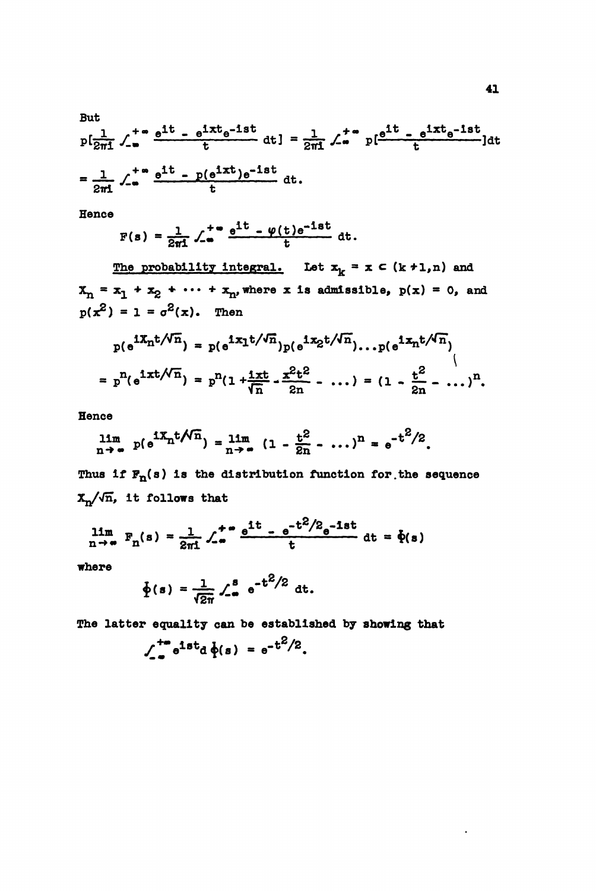But  
\n
$$
p\left[\frac{1}{2\pi i}\int_{-\infty}^{+\infty} \frac{e^{it} - e^{ixt}e^{-ist}}{t} dt\right] = \frac{1}{2\pi i}\int_{-\infty}^{+\infty} p\left[\frac{e^{it} - e^{ixt}e^{-ist}}{t}\right] dt
$$
  
\n $= \frac{1}{2\pi i}\int_{-\infty}^{+\infty} \frac{e^{it} - p(e^{ixt})e^{-ist}}{t} dt$ .

Hence

$$
F(s) = \frac{1}{2\pi i} \int_{-\infty}^{+\infty} \frac{e^{it} - \varphi(t)e^{-ist}}{t} dt.
$$

The probability integral. Let  $x_k = x \in (k+1,n)$  and  $X_n = x_1 + x_2 + \cdots + x_n$ , where x is admissible,  $p(x) = 0$ , and  $p(x^2) = 1 = \sigma^2(x)$ . Then

$$
p(e^{iX_n t/\sqrt{n}}) = p(e^{iX_1 t/\sqrt{n}}) p(e^{iX_2 t/\sqrt{n}}) \dots p(e^{iX_n t/\sqrt{n}})
$$
  
=  $p^n (e^{ixt/\sqrt{n}}) = p^n (1 + \frac{ixt}{\sqrt{n}} - \frac{x^2t^2}{2n} - \dots) = (1 - \frac{t^2}{2n} - \dots)^n$ .

Hence

$$
\lim_{n \to \infty} p(e^{iX_n t/\overline{n}}) = \lim_{n \to \infty} (1 - \frac{t^2}{2n} - \dots)^n = e^{-t^2/2}
$$

Thus if  $F_n(s)$  is the distribution function for the sequence  $x_n/\sqrt{n}$ , it follows that

$$
\lim_{n \to \infty} F_n(s) = \frac{1}{2\pi i} \int_{-\infty}^{+\infty} \frac{e^{it} - e^{-t^2/2} e^{-1st}}{t} dt = \dot{\Phi}(s)
$$

where

$$
\oint
$$
(s) =  $\frac{1}{\sqrt{2\pi}} \int_{-\infty}^{8} e^{-t^2/2} dt$ .

The latter equality can be established by showing that

$$
\int_{-\infty}^{+\infty} e^{1st} d\phi(s) = e^{-t^2/2}.
$$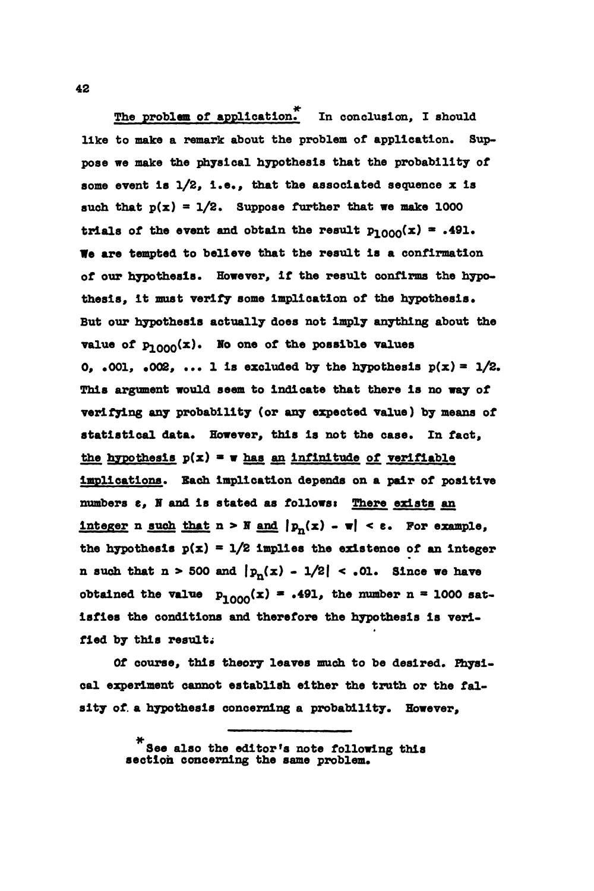The problem of application. In conclusion, I should like to make a remark about the problem of application. Suppose we make the physical hypothesis that the probability of some event is  $1/2$ , i.e., that the associated sequence x is such that  $p(x) = 1/2$ . Suppose further that we make 1000 trials of the event and obtain the result  $p_{1000}(x) = .491$ . We are tempted to believe that the result is a confirmation of our hypothesis. However, if the result confirms the hypothesis, it must verify some implication of the hypothesis. But our hypothesis actually does not imply anything about the value of  $p_{1000}(x)$ . No one of the possible value 0, .001, .002, ... 1 is excluded by the hypothesis  $p(x) = 1/2$ . This argument would seem to Indicate that there is no way of verifying any probability (or any expected value) by means of statistical data. However, this is not the case. In fact, the hypothesis  $p(x) = v$  has an infinitude of verifiable implications. Each implication depends on a pair of positive numbers  $e$ , N and is stated as follows: There exists an integer n such that  $n > N$  and  $|p_n(x) - \pi| < \varepsilon$ . For example, the hypothesis  $p(x) = 1/2$  implies the existence of an integer n such that  $n > 500$  and  $|p_n(x) - 1/2| < .01$ . Since we have obtained the value  $p_{1000}(x) = .491$ , the number n = 1000 satisfies the conditions and therefore the hypothesis Is verified by this result;

Of course, this theory leaves much to be desired. Physical experiment cannot establish either the truth or the falsity of. a hypothesis concerning a probability. However,

> See also the editor's note following this section concerning the same problem.